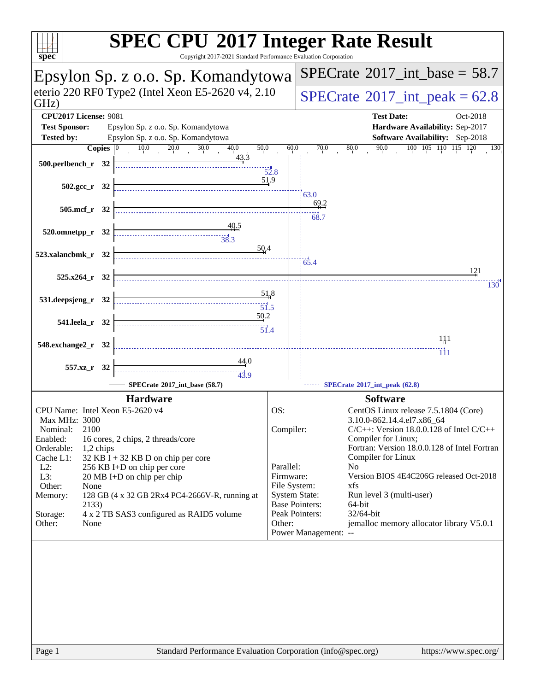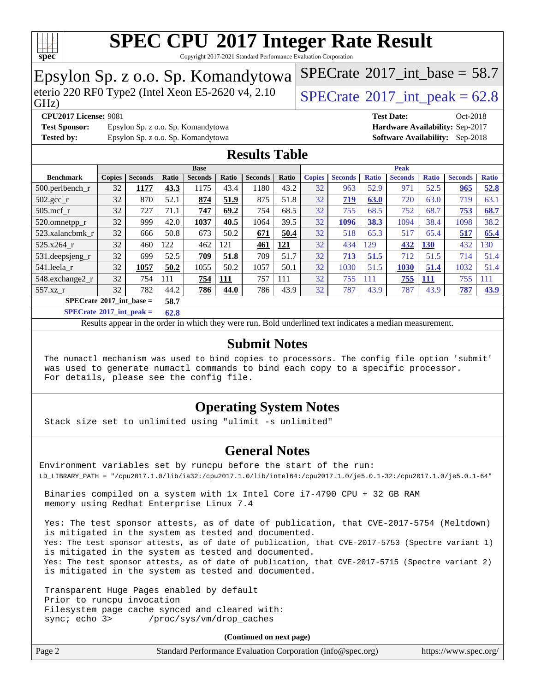

Copyright 2017-2021 Standard Performance Evaluation Corporation

## Epsylon Sp. z o.o. Sp. Komandytowa

eterio 220 RF0 Type2 (Intel Xeon E5-2620 v4, 2.10  $\sqrt{\text{SPECrate}^{\circ}2017}$  $\sqrt{\text{SPECrate}^{\circ}2017}$  $\sqrt{\text{SPECrate}^{\circ}2017}$  int peak = 62.8

[SPECrate](http://www.spec.org/auto/cpu2017/Docs/result-fields.html#SPECrate2017intbase)<sup>®</sup>2017 int\_base = 58.7

GHz)

**[Test Sponsor:](http://www.spec.org/auto/cpu2017/Docs/result-fields.html#TestSponsor)** Epsylon Sp. z o.o. Sp. Komandytowa **[Hardware Availability:](http://www.spec.org/auto/cpu2017/Docs/result-fields.html#HardwareAvailability)** Sep-2017 **[Tested by:](http://www.spec.org/auto/cpu2017/Docs/result-fields.html#Testedby)** Epsylon Sp. z o.o. Sp. Komandytowa **[Software Availability:](http://www.spec.org/auto/cpu2017/Docs/result-fields.html#SoftwareAvailability)** Sep-2018

**[CPU2017 License:](http://www.spec.org/auto/cpu2017/Docs/result-fields.html#CPU2017License)** 9081 **[Test Date:](http://www.spec.org/auto/cpu2017/Docs/result-fields.html#TestDate)** Oct-2018

### **[Results Table](http://www.spec.org/auto/cpu2017/Docs/result-fields.html#ResultsTable)**

|                                           | <b>Base</b>   |                |       |                |            |                | <b>Peak</b> |               |                  |              |                |              |                |              |
|-------------------------------------------|---------------|----------------|-------|----------------|------------|----------------|-------------|---------------|------------------|--------------|----------------|--------------|----------------|--------------|
| <b>Benchmark</b>                          | <b>Copies</b> | <b>Seconds</b> | Ratio | <b>Seconds</b> | Ratio      | <b>Seconds</b> | Ratio       | <b>Copies</b> | <b>Seconds</b>   | <b>Ratio</b> | <b>Seconds</b> | <b>Ratio</b> | <b>Seconds</b> | <b>Ratio</b> |
| 500.perlbench r                           | 32            | 1177           | 43.3  | 1175           | 43.4       | 1180           | 43.2        | 32            | 963              | 52.9         | 971            | 52.5         | 965            | 52.8         |
| 502.gcc_r                                 | 32            | 870            | 52.1  | 874            | 51.9       | 875            | 51.8        | 32            | $\overline{219}$ | 63.0         | 720            | 63.0         | 719            | 63.1         |
| $505$ .mcf r                              | 32            | 727            | 71.1  | 747            | 69.2       | 754            | 68.5        | 32            | 755              | 68.5         | 752            | 68.7         | 753            | 68.7         |
| 520.omnetpp_r                             | 32            | 999            | 42.0  | 1037           | 40.5       | 1064           | 39.5        | 32            | 1096             | 38.3         | 1094           | 38.4         | 1098           | 38.2         |
| 523.xalancbmk r                           | 32            | 666            | 50.8  | 673            | 50.2       | 671            | 50.4        | 32            | 518              | 65.3         | 517            | 65.4         | 517            | 65.4         |
| 525.x264 r                                | 32            | 460            | 122   | 462            | 121        | 461            | 121         | 32            | 434              | 129          | 432            | <b>130</b>   | 432            | 130          |
| 531.deepsjeng_r                           | 32            | 699            | 52.5  | 709            | 51.8       | 709            | 51.7        | 32            | 713              | 51.5         | 712            | 51.5         | 714            | 51.4         |
| 541.leela r                               | 32            | 1057           | 50.2  | 1055           | 50.2       | 1057           | 50.1        | 32            | 1030             | 51.5         | 1030           | 51.4         | 1032           | 51.4         |
| 548.exchange2_r                           | 32            | 754            | 111   | 754            | <b>111</b> | 757            | 111         | 32            | 755              | 111          | 755            | 111          | 755            | 111          |
| 557.xz r                                  | 32            | 782            | 44.2  | 786            | 44.0       | 786            | 43.9        | 32            | 787              | 43.9         | 787            | 43.9         | 787            | 43.9         |
| $SPECrate^{\circ}2017$ int base =<br>58.7 |               |                |       |                |            |                |             |               |                  |              |                |              |                |              |

**[SPECrate](http://www.spec.org/auto/cpu2017/Docs/result-fields.html#SPECrate2017intpeak)[2017\\_int\\_peak =](http://www.spec.org/auto/cpu2017/Docs/result-fields.html#SPECrate2017intpeak) 62.8**

Results appear in the [order in which they were run.](http://www.spec.org/auto/cpu2017/Docs/result-fields.html#RunOrder) Bold underlined text [indicates a median measurement.](http://www.spec.org/auto/cpu2017/Docs/result-fields.html#Median)

#### **[Submit Notes](http://www.spec.org/auto/cpu2017/Docs/result-fields.html#SubmitNotes)**

 The numactl mechanism was used to bind copies to processors. The config file option 'submit' was used to generate numactl commands to bind each copy to a specific processor. For details, please see the config file.

### **[Operating System Notes](http://www.spec.org/auto/cpu2017/Docs/result-fields.html#OperatingSystemNotes)**

Stack size set to unlimited using "ulimit -s unlimited"

#### **[General Notes](http://www.spec.org/auto/cpu2017/Docs/result-fields.html#GeneralNotes)**

Environment variables set by runcpu before the start of the run: LD\_LIBRARY\_PATH = "/cpu2017.1.0/lib/ia32:/cpu2017.1.0/lib/intel64:/cpu2017.1.0/je5.0.1-32:/cpu2017.1.0/je5.0.1-64"

 Binaries compiled on a system with 1x Intel Core i7-4790 CPU + 32 GB RAM memory using Redhat Enterprise Linux 7.4

 Yes: The test sponsor attests, as of date of publication, that CVE-2017-5754 (Meltdown) is mitigated in the system as tested and documented. Yes: The test sponsor attests, as of date of publication, that CVE-2017-5753 (Spectre variant 1) is mitigated in the system as tested and documented. Yes: The test sponsor attests, as of date of publication, that CVE-2017-5715 (Spectre variant 2) is mitigated in the system as tested and documented.

 Transparent Huge Pages enabled by default Prior to runcpu invocation Filesystem page cache synced and cleared with: sync; echo 3> /proc/sys/vm/drop\_caches

**(Continued on next page)**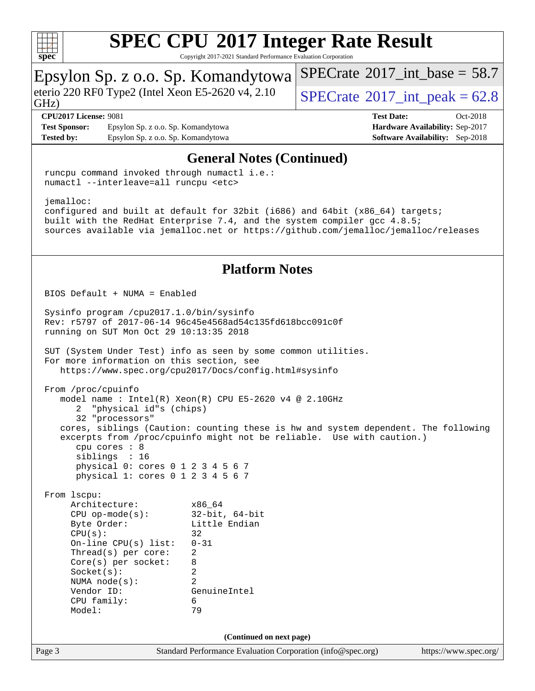

Copyright 2017-2021 Standard Performance Evaluation Corporation

#### Page 3 Standard Performance Evaluation Corporation [\(info@spec.org\)](mailto:info@spec.org) <https://www.spec.org/> Epsylon Sp. z o.o. Sp. Komandytowa GHz) eterio 220 RF0 Type2 (Intel Xeon E5-2620 v4, 2.10  $\big|$  [SPECrate](http://www.spec.org/auto/cpu2017/Docs/result-fields.html#SPECrate2017intpeak) <sup>®</sup>2017 int peak = 62.8 [SPECrate](http://www.spec.org/auto/cpu2017/Docs/result-fields.html#SPECrate2017intbase)<sup>®</sup>2017 int\_base = 58.7 **[CPU2017 License:](http://www.spec.org/auto/cpu2017/Docs/result-fields.html#CPU2017License)** 9081 **[Test Date:](http://www.spec.org/auto/cpu2017/Docs/result-fields.html#TestDate)** Oct-2018 **[Test Sponsor:](http://www.spec.org/auto/cpu2017/Docs/result-fields.html#TestSponsor)** Epsylon Sp. z o.o. Sp. Komandytowa **[Hardware Availability:](http://www.spec.org/auto/cpu2017/Docs/result-fields.html#HardwareAvailability)** Sep-2017 **[Tested by:](http://www.spec.org/auto/cpu2017/Docs/result-fields.html#Testedby)** Epsylon Sp. z o.o. Sp. Komandytowa **[Software Availability:](http://www.spec.org/auto/cpu2017/Docs/result-fields.html#SoftwareAvailability)** Sep-2018 **[General Notes \(Continued\)](http://www.spec.org/auto/cpu2017/Docs/result-fields.html#GeneralNotes)** runcpu command invoked through numactl i.e.: numactl --interleave=all runcpu <etc> jemalloc: configured and built at default for 32bit (i686) and 64bit (x86\_64) targets; built with the RedHat Enterprise 7.4, and the system compiler gcc 4.8.5; sources available via jemalloc.net or <https://github.com/jemalloc/jemalloc/releases> **[Platform Notes](http://www.spec.org/auto/cpu2017/Docs/result-fields.html#PlatformNotes)** BIOS Default + NUMA = Enabled Sysinfo program /cpu2017.1.0/bin/sysinfo Rev: r5797 of 2017-06-14 96c45e4568ad54c135fd618bcc091c0f running on SUT Mon Oct 29 10:13:35 2018 SUT (System Under Test) info as seen by some common utilities. For more information on this section, see <https://www.spec.org/cpu2017/Docs/config.html#sysinfo> From /proc/cpuinfo model name : Intel(R) Xeon(R) CPU E5-2620 v4 @ 2.10GHz 2 "physical id"s (chips) 32 "processors" cores, siblings (Caution: counting these is hw and system dependent. The following excerpts from /proc/cpuinfo might not be reliable. Use with caution.) cpu cores : 8 siblings : 16 physical 0: cores 0 1 2 3 4 5 6 7 physical 1: cores 0 1 2 3 4 5 6 7 From lscpu: Architecture: x86\_64 CPU op-mode(s): 32-bit, 64-bit Byte Order: Little Endian  $CPU(s):$  32 On-line CPU(s) list: 0-31 Thread(s) per core: 2 Core(s) per socket: 8 Socket(s): 2 NUMA node(s): 2 Vendor ID: GenuineIntel CPU family: 6 Model: 79 **(Continued on next page)**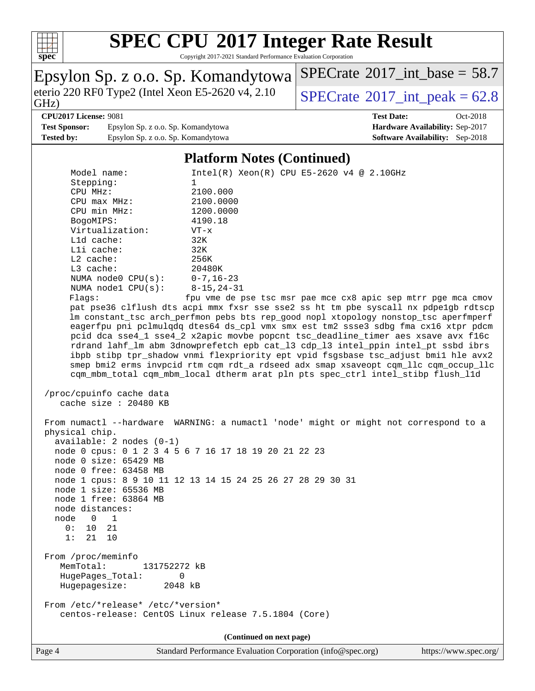

Copyright 2017-2021 Standard Performance Evaluation Corporation

|                                                                                                        | Epsylon Sp. z o.o. Sp. Komandytowa                                                         | $SPECrate^{\circ}2017\_int\_base = 58.7$                                             |  |  |  |  |  |  |  |
|--------------------------------------------------------------------------------------------------------|--------------------------------------------------------------------------------------------|--------------------------------------------------------------------------------------|--|--|--|--|--|--|--|
| GHz)                                                                                                   | eterio 220 RF0 Type2 (Intel Xeon E5-2620 v4, 2.10)                                         | $SPECrate^{\circ}2017\_int\_peak = 62.8$                                             |  |  |  |  |  |  |  |
| <b>CPU2017 License: 9081</b>                                                                           |                                                                                            | <b>Test Date:</b><br>Oct-2018                                                        |  |  |  |  |  |  |  |
| <b>Test Sponsor:</b>                                                                                   | Epsylon Sp. z o.o. Sp. Komandytowa                                                         | Hardware Availability: Sep-2017                                                      |  |  |  |  |  |  |  |
| <b>Tested by:</b>                                                                                      | Epsylon Sp. z o.o. Sp. Komandytowa                                                         | Software Availability: Sep-2018                                                      |  |  |  |  |  |  |  |
|                                                                                                        |                                                                                            |                                                                                      |  |  |  |  |  |  |  |
|                                                                                                        | <b>Platform Notes (Continued)</b>                                                          |                                                                                      |  |  |  |  |  |  |  |
| Model name:                                                                                            |                                                                                            | $Intel(R) Xeon(R) CPU E5-2620 v4 @ 2.10GHz$                                          |  |  |  |  |  |  |  |
| Stepping:                                                                                              | 1                                                                                          |                                                                                      |  |  |  |  |  |  |  |
| CPU MHz:                                                                                               | 2100.000                                                                                   |                                                                                      |  |  |  |  |  |  |  |
| CPU max MHz:                                                                                           | 2100.0000                                                                                  |                                                                                      |  |  |  |  |  |  |  |
| CPU min MHz:                                                                                           | 1200.0000                                                                                  |                                                                                      |  |  |  |  |  |  |  |
| BogoMIPS:                                                                                              | 4190.18                                                                                    |                                                                                      |  |  |  |  |  |  |  |
| Virtualization:                                                                                        | $VT - x$                                                                                   |                                                                                      |  |  |  |  |  |  |  |
| L1d cache:                                                                                             | 32K                                                                                        |                                                                                      |  |  |  |  |  |  |  |
| Lli cache:                                                                                             | 32K                                                                                        |                                                                                      |  |  |  |  |  |  |  |
| L2 cache:                                                                                              | 256K                                                                                       |                                                                                      |  |  |  |  |  |  |  |
| L3 cache:                                                                                              | 20480K                                                                                     |                                                                                      |  |  |  |  |  |  |  |
| NUMA node0 CPU(s):                                                                                     | $0 - 7, 16 - 23$                                                                           |                                                                                      |  |  |  |  |  |  |  |
| NUMA nodel CPU(s):                                                                                     | $8 - 15, 24 - 31$                                                                          |                                                                                      |  |  |  |  |  |  |  |
| Flags:                                                                                                 |                                                                                            | fpu vme de pse tsc msr pae mce cx8 apic sep mtrr pge mca cmov                        |  |  |  |  |  |  |  |
|                                                                                                        |                                                                                            | pat pse36 clflush dts acpi mmx fxsr sse sse2 ss ht tm pbe syscall nx pdpe1gb rdtscp  |  |  |  |  |  |  |  |
|                                                                                                        |                                                                                            | lm constant_tsc arch_perfmon pebs bts rep_good nopl xtopology nonstop_tsc aperfmperf |  |  |  |  |  |  |  |
|                                                                                                        |                                                                                            | eagerfpu pni pclmulqdq dtes64 ds_cpl vmx smx est tm2 ssse3 sdbg fma cx16 xtpr pdcm   |  |  |  |  |  |  |  |
|                                                                                                        |                                                                                            | pcid dca sse4_1 sse4_2 x2apic movbe popcnt tsc_deadline_timer aes xsave avx f16c     |  |  |  |  |  |  |  |
|                                                                                                        |                                                                                            | rdrand lahf_lm abm 3dnowprefetch epb cat_13 cdp_13 intel_ppin intel_pt ssbd ibrs     |  |  |  |  |  |  |  |
|                                                                                                        |                                                                                            | ibpb stibp tpr_shadow vnmi flexpriority ept vpid fsgsbase tsc_adjust bmil hle avx2   |  |  |  |  |  |  |  |
|                                                                                                        |                                                                                            | smep bmi2 erms invpcid rtm cqm rdt_a rdseed adx smap xsaveopt cqm_llc cqm_occup_llc  |  |  |  |  |  |  |  |
|                                                                                                        | cqm_mbm_total cqm_mbm_local dtherm arat pln pts spec_ctrl intel_stibp flush_l1d            |                                                                                      |  |  |  |  |  |  |  |
| /proc/cpuinfo cache data                                                                               |                                                                                            |                                                                                      |  |  |  |  |  |  |  |
| cache size $: 20480$ KB                                                                                |                                                                                            |                                                                                      |  |  |  |  |  |  |  |
|                                                                                                        |                                                                                            |                                                                                      |  |  |  |  |  |  |  |
|                                                                                                        |                                                                                            |                                                                                      |  |  |  |  |  |  |  |
| From numactl --hardware WARNING: a numactl 'node' might or might not correspond to a<br>physical chip. |                                                                                            |                                                                                      |  |  |  |  |  |  |  |
| $available: 2 nodes (0-1)$                                                                             |                                                                                            |                                                                                      |  |  |  |  |  |  |  |
| node 0 cpus: 0 1 2 3 4 5 6 7 16 17 18 19 20 21 22 23                                                   |                                                                                            |                                                                                      |  |  |  |  |  |  |  |
| $node$ 0 $size: 65429$ MB                                                                              |                                                                                            |                                                                                      |  |  |  |  |  |  |  |
| node 0 free: 63458 MB                                                                                  |                                                                                            |                                                                                      |  |  |  |  |  |  |  |
| node 1 cpus: 8 9 10 11 12 13 14 15 24 25 26 27 28 29 30 31                                             |                                                                                            |                                                                                      |  |  |  |  |  |  |  |
| node 1 size: 65536 MB                                                                                  |                                                                                            |                                                                                      |  |  |  |  |  |  |  |
| node 1 free: 63864 MB                                                                                  |                                                                                            |                                                                                      |  |  |  |  |  |  |  |
| node distances:                                                                                        |                                                                                            |                                                                                      |  |  |  |  |  |  |  |
| node<br>$\Omega$<br>$\mathbf{1}$                                                                       |                                                                                            |                                                                                      |  |  |  |  |  |  |  |
| 0:<br>21<br>10                                                                                         |                                                                                            |                                                                                      |  |  |  |  |  |  |  |
| 1:<br>21 10                                                                                            |                                                                                            |                                                                                      |  |  |  |  |  |  |  |
|                                                                                                        |                                                                                            |                                                                                      |  |  |  |  |  |  |  |
| From /proc/meminfo                                                                                     |                                                                                            |                                                                                      |  |  |  |  |  |  |  |
| MemTotal:<br>131752272 kB                                                                              |                                                                                            |                                                                                      |  |  |  |  |  |  |  |
| HugePages_Total:                                                                                       | 0                                                                                          |                                                                                      |  |  |  |  |  |  |  |
| Hugepagesize:<br>2048 kB                                                                               |                                                                                            |                                                                                      |  |  |  |  |  |  |  |
|                                                                                                        |                                                                                            |                                                                                      |  |  |  |  |  |  |  |
|                                                                                                        | From /etc/*release* /etc/*version*<br>centos-release: CentOS Linux release 7.5.1804 (Core) |                                                                                      |  |  |  |  |  |  |  |
|                                                                                                        |                                                                                            |                                                                                      |  |  |  |  |  |  |  |
|                                                                                                        |                                                                                            |                                                                                      |  |  |  |  |  |  |  |
| (Continued on next page)                                                                               |                                                                                            |                                                                                      |  |  |  |  |  |  |  |

Page 4 Standard Performance Evaluation Corporation [\(info@spec.org\)](mailto:info@spec.org) <https://www.spec.org/>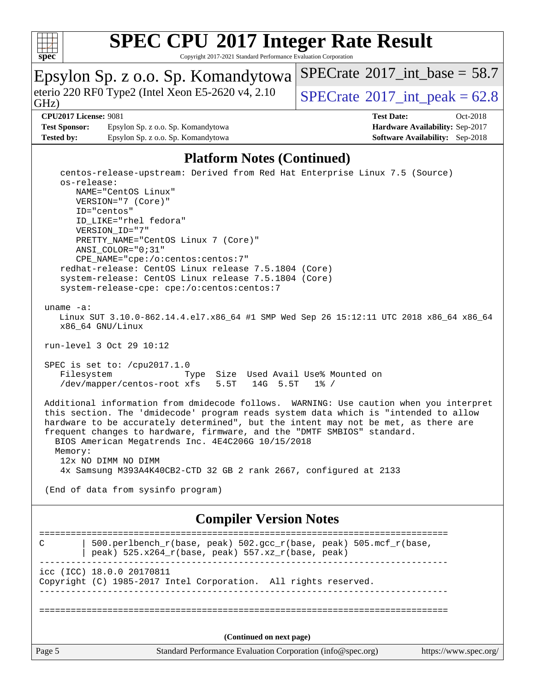

Copyright 2017-2021 Standard Performance Evaluation Corporation

#### Epsylon Sp. z o.o. Sp. Komandytowa GHz) eterio 220 RF0 Type2 (Intel Xeon E5-2620 v4, 2.10 [SPECrate](http://www.spec.org/auto/cpu2017/Docs/result-fields.html#SPECrate2017intpeak)® 2017 int\_peak = 62.8 [SPECrate](http://www.spec.org/auto/cpu2017/Docs/result-fields.html#SPECrate2017intbase)<sup>®</sup>2017 int\_base = 58.7

#### **[CPU2017 License:](http://www.spec.org/auto/cpu2017/Docs/result-fields.html#CPU2017License)** 9081 **[Test Date:](http://www.spec.org/auto/cpu2017/Docs/result-fields.html#TestDate)** Oct-2018

**[Test Sponsor:](http://www.spec.org/auto/cpu2017/Docs/result-fields.html#TestSponsor)** Epsylon Sp. z o.o. Sp. Komandytowa **[Hardware Availability:](http://www.spec.org/auto/cpu2017/Docs/result-fields.html#HardwareAvailability)** Sep-2017 **[Tested by:](http://www.spec.org/auto/cpu2017/Docs/result-fields.html#Testedby)** Epsylon Sp. z o.o. Sp. Komandytowa **[Software Availability:](http://www.spec.org/auto/cpu2017/Docs/result-fields.html#SoftwareAvailability)** Sep-2018

#### **[Platform Notes \(Continued\)](http://www.spec.org/auto/cpu2017/Docs/result-fields.html#PlatformNotes)**

Page 5 Standard Performance Evaluation Corporation [\(info@spec.org\)](mailto:info@spec.org) <https://www.spec.org/> centos-release-upstream: Derived from Red Hat Enterprise Linux 7.5 (Source) os-release: NAME="CentOS Linux" VERSION="7 (Core)" ID="centos" ID\_LIKE="rhel fedora" VERSION\_ID="7" PRETTY\_NAME="CentOS Linux 7 (Core)" ANSI\_COLOR="0;31" CPE\_NAME="cpe:/o:centos:centos:7" redhat-release: CentOS Linux release 7.5.1804 (Core) system-release: CentOS Linux release 7.5.1804 (Core) system-release-cpe: cpe:/o:centos:centos:7 uname -a: Linux SUT 3.10.0-862.14.4.el7.x86\_64 #1 SMP Wed Sep 26 15:12:11 UTC 2018 x86\_64 x86\_64 x86\_64 GNU/Linux run-level 3 Oct 29 10:12 SPEC is set to: /cpu2017.1.0 Filesystem Type Size Used Avail Use% Mounted on /dev/mapper/centos-root xfs 5.5T 14G 5.5T 1% / Additional information from dmidecode follows. WARNING: Use caution when you interpret this section. The 'dmidecode' program reads system data which is "intended to allow hardware to be accurately determined", but the intent may not be met, as there are frequent changes to hardware, firmware, and the "DMTF SMBIOS" standard. BIOS American Megatrends Inc. 4E4C206G 10/15/2018 Memory: 12x NO DIMM NO DIMM 4x Samsung M393A4K40CB2-CTD 32 GB 2 rank 2667, configured at 2133 (End of data from sysinfo program) **[Compiler Version Notes](http://www.spec.org/auto/cpu2017/Docs/result-fields.html#CompilerVersionNotes)** ============================================================================== C  $\vert$  500.perlbench\_r(base, peak) 502.gcc\_r(base, peak) 505.mcf\_r(base, | peak) 525.x264\_r(base, peak) 557.xz\_r(base, peak) ----------------------------------------------------------------------------- icc (ICC) 18.0.0 20170811 Copyright (C) 1985-2017 Intel Corporation. All rights reserved. ------------------------------------------------------------------------------ ============================================================================== **(Continued on next page)**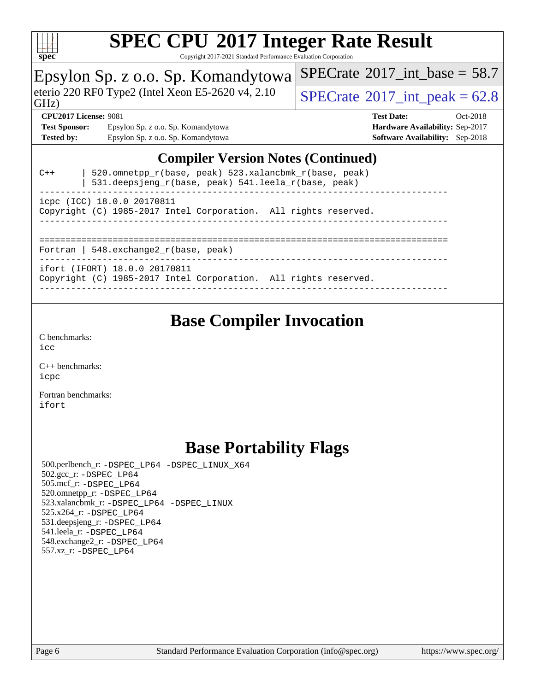

Copyright 2017-2021 Standard Performance Evaluation Corporation

## Epsylon Sp. z o.o. Sp. Komandytowa

eterio 220 RF0 Type2 (Intel Xeon E5-2620 v4, 2.10  $\sqrt{\text{SPECrate}^{\circ}2017\_int\_peak} = 62.8$  $\sqrt{\text{SPECrate}^{\circ}2017\_int\_peak} = 62.8$  $\sqrt{\text{SPECrate}^{\circ}2017\_int\_peak} = 62.8$ 

 $SPECTate$ <sup>®</sup>[2017\\_int\\_base =](http://www.spec.org/auto/cpu2017/Docs/result-fields.html#SPECrate2017intbase) 58.7

### GHz)

**[Test Sponsor:](http://www.spec.org/auto/cpu2017/Docs/result-fields.html#TestSponsor)** Epsylon Sp. z o.o. Sp. Komandytowa **[Hardware Availability:](http://www.spec.org/auto/cpu2017/Docs/result-fields.html#HardwareAvailability)** Sep-2017 **[Tested by:](http://www.spec.org/auto/cpu2017/Docs/result-fields.html#Testedby)** Epsylon Sp. z o.o. Sp. Komandytowa **[Software Availability:](http://www.spec.org/auto/cpu2017/Docs/result-fields.html#SoftwareAvailability)** Sep-2018

**[CPU2017 License:](http://www.spec.org/auto/cpu2017/Docs/result-fields.html#CPU2017License)** 9081 **[Test Date:](http://www.spec.org/auto/cpu2017/Docs/result-fields.html#TestDate)** Oct-2018

### **[Compiler Version Notes \(Continued\)](http://www.spec.org/auto/cpu2017/Docs/result-fields.html#CompilerVersionNotes)**

| $C++$                                   | 520.omnetpp_r(base, peak) 523.xalancbmk_r(base, peak)<br>531.deepsjeng_r(base, peak) 541.leela_r(base, peak) |  |  |  |  |
|-----------------------------------------|--------------------------------------------------------------------------------------------------------------|--|--|--|--|
|                                         | icpc (ICC) 18.0.0 20170811<br>Copyright (C) 1985-2017 Intel Corporation. All rights reserved.                |  |  |  |  |
| Fortran   548.exchange2 $r(base, peak)$ |                                                                                                              |  |  |  |  |
|                                         | ifort (IFORT) 18.0.0 20170811<br>Copyright (C) 1985-2017 Intel Corporation. All rights reserved.             |  |  |  |  |

## **[Base Compiler Invocation](http://www.spec.org/auto/cpu2017/Docs/result-fields.html#BaseCompilerInvocation)**

[C benchmarks](http://www.spec.org/auto/cpu2017/Docs/result-fields.html#Cbenchmarks): [icc](http://www.spec.org/cpu2017/results/res2018q4/cpu2017-20181105-09475.flags.html#user_CCbase_intel_icc_18.0_66fc1ee009f7361af1fbd72ca7dcefbb700085f36577c54f309893dd4ec40d12360134090235512931783d35fd58c0460139e722d5067c5574d8eaf2b3e37e92)

[C++ benchmarks:](http://www.spec.org/auto/cpu2017/Docs/result-fields.html#CXXbenchmarks) [icpc](http://www.spec.org/cpu2017/results/res2018q4/cpu2017-20181105-09475.flags.html#user_CXXbase_intel_icpc_18.0_c510b6838c7f56d33e37e94d029a35b4a7bccf4766a728ee175e80a419847e808290a9b78be685c44ab727ea267ec2f070ec5dc83b407c0218cded6866a35d07)

[Fortran benchmarks](http://www.spec.org/auto/cpu2017/Docs/result-fields.html#Fortranbenchmarks): [ifort](http://www.spec.org/cpu2017/results/res2018q4/cpu2017-20181105-09475.flags.html#user_FCbase_intel_ifort_18.0_8111460550e3ca792625aed983ce982f94888b8b503583aa7ba2b8303487b4d8a21a13e7191a45c5fd58ff318f48f9492884d4413fa793fd88dd292cad7027ca)

## **[Base Portability Flags](http://www.spec.org/auto/cpu2017/Docs/result-fields.html#BasePortabilityFlags)**

 500.perlbench\_r: [-DSPEC\\_LP64](http://www.spec.org/cpu2017/results/res2018q4/cpu2017-20181105-09475.flags.html#b500.perlbench_r_basePORTABILITY_DSPEC_LP64) [-DSPEC\\_LINUX\\_X64](http://www.spec.org/cpu2017/results/res2018q4/cpu2017-20181105-09475.flags.html#b500.perlbench_r_baseCPORTABILITY_DSPEC_LINUX_X64) 502.gcc\_r: [-DSPEC\\_LP64](http://www.spec.org/cpu2017/results/res2018q4/cpu2017-20181105-09475.flags.html#suite_basePORTABILITY502_gcc_r_DSPEC_LP64) 505.mcf\_r: [-DSPEC\\_LP64](http://www.spec.org/cpu2017/results/res2018q4/cpu2017-20181105-09475.flags.html#suite_basePORTABILITY505_mcf_r_DSPEC_LP64) 520.omnetpp\_r: [-DSPEC\\_LP64](http://www.spec.org/cpu2017/results/res2018q4/cpu2017-20181105-09475.flags.html#suite_basePORTABILITY520_omnetpp_r_DSPEC_LP64) 523.xalancbmk\_r: [-DSPEC\\_LP64](http://www.spec.org/cpu2017/results/res2018q4/cpu2017-20181105-09475.flags.html#suite_basePORTABILITY523_xalancbmk_r_DSPEC_LP64) [-DSPEC\\_LINUX](http://www.spec.org/cpu2017/results/res2018q4/cpu2017-20181105-09475.flags.html#b523.xalancbmk_r_baseCXXPORTABILITY_DSPEC_LINUX) 525.x264\_r: [-DSPEC\\_LP64](http://www.spec.org/cpu2017/results/res2018q4/cpu2017-20181105-09475.flags.html#suite_basePORTABILITY525_x264_r_DSPEC_LP64) 531.deepsjeng\_r: [-DSPEC\\_LP64](http://www.spec.org/cpu2017/results/res2018q4/cpu2017-20181105-09475.flags.html#suite_basePORTABILITY531_deepsjeng_r_DSPEC_LP64) 541.leela\_r: [-DSPEC\\_LP64](http://www.spec.org/cpu2017/results/res2018q4/cpu2017-20181105-09475.flags.html#suite_basePORTABILITY541_leela_r_DSPEC_LP64) 548.exchange2\_r: [-DSPEC\\_LP64](http://www.spec.org/cpu2017/results/res2018q4/cpu2017-20181105-09475.flags.html#suite_basePORTABILITY548_exchange2_r_DSPEC_LP64) 557.xz\_r: [-DSPEC\\_LP64](http://www.spec.org/cpu2017/results/res2018q4/cpu2017-20181105-09475.flags.html#suite_basePORTABILITY557_xz_r_DSPEC_LP64)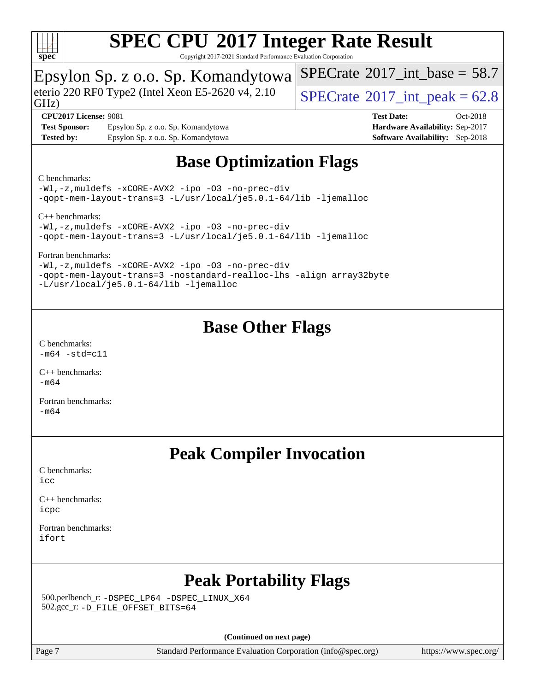

Copyright 2017-2021 Standard Performance Evaluation Corporation

## Epsylon Sp. z o.o. Sp. Komandytowa

eterio 220 RF0 Type2 (Intel Xeon E5-2620 v4, 2.10  $\big|$  [SPECrate](http://www.spec.org/auto/cpu2017/Docs/result-fields.html#SPECrate2017intpeak) <sup>®</sup>2017 int peak = 62.8

[SPECrate](http://www.spec.org/auto/cpu2017/Docs/result-fields.html#SPECrate2017intbase)<sup>®</sup>2017 int\_base = 58.7

GHz)

**[Test Sponsor:](http://www.spec.org/auto/cpu2017/Docs/result-fields.html#TestSponsor)** Epsylon Sp. z o.o. Sp. Komandytowa **[Hardware Availability:](http://www.spec.org/auto/cpu2017/Docs/result-fields.html#HardwareAvailability)** Sep-2017 **[Tested by:](http://www.spec.org/auto/cpu2017/Docs/result-fields.html#Testedby)** Epsylon Sp. z o.o. Sp. Komandytowa **[Software Availability:](http://www.spec.org/auto/cpu2017/Docs/result-fields.html#SoftwareAvailability)** Sep-2018

**[CPU2017 License:](http://www.spec.org/auto/cpu2017/Docs/result-fields.html#CPU2017License)** 9081 **[Test Date:](http://www.spec.org/auto/cpu2017/Docs/result-fields.html#TestDate)** Oct-2018

## **[Base Optimization Flags](http://www.spec.org/auto/cpu2017/Docs/result-fields.html#BaseOptimizationFlags)**

#### [C benchmarks](http://www.spec.org/auto/cpu2017/Docs/result-fields.html#Cbenchmarks):

[-Wl,-z,muldefs](http://www.spec.org/cpu2017/results/res2018q4/cpu2017-20181105-09475.flags.html#user_CCbase_link_force_multiple1_b4cbdb97b34bdee9ceefcfe54f4c8ea74255f0b02a4b23e853cdb0e18eb4525ac79b5a88067c842dd0ee6996c24547a27a4b99331201badda8798ef8a743f577) [-xCORE-AVX2](http://www.spec.org/cpu2017/results/res2018q4/cpu2017-20181105-09475.flags.html#user_CCbase_f-xCORE-AVX2) [-ipo](http://www.spec.org/cpu2017/results/res2018q4/cpu2017-20181105-09475.flags.html#user_CCbase_f-ipo) [-O3](http://www.spec.org/cpu2017/results/res2018q4/cpu2017-20181105-09475.flags.html#user_CCbase_f-O3) [-no-prec-div](http://www.spec.org/cpu2017/results/res2018q4/cpu2017-20181105-09475.flags.html#user_CCbase_f-no-prec-div) [-qopt-mem-layout-trans=3](http://www.spec.org/cpu2017/results/res2018q4/cpu2017-20181105-09475.flags.html#user_CCbase_f-qopt-mem-layout-trans_de80db37974c74b1f0e20d883f0b675c88c3b01e9d123adea9b28688d64333345fb62bc4a798493513fdb68f60282f9a726aa07f478b2f7113531aecce732043) [-L/usr/local/je5.0.1-64/lib](http://www.spec.org/cpu2017/results/res2018q4/cpu2017-20181105-09475.flags.html#user_CCbase_jemalloc_link_path64_4b10a636b7bce113509b17f3bd0d6226c5fb2346b9178c2d0232c14f04ab830f976640479e5c33dc2bcbbdad86ecfb6634cbbd4418746f06f368b512fced5394) [-ljemalloc](http://www.spec.org/cpu2017/results/res2018q4/cpu2017-20181105-09475.flags.html#user_CCbase_jemalloc_link_lib_d1249b907c500fa1c0672f44f562e3d0f79738ae9e3c4a9c376d49f265a04b9c99b167ecedbf6711b3085be911c67ff61f150a17b3472be731631ba4d0471706)

[C++ benchmarks:](http://www.spec.org/auto/cpu2017/Docs/result-fields.html#CXXbenchmarks)

[-Wl,-z,muldefs](http://www.spec.org/cpu2017/results/res2018q4/cpu2017-20181105-09475.flags.html#user_CXXbase_link_force_multiple1_b4cbdb97b34bdee9ceefcfe54f4c8ea74255f0b02a4b23e853cdb0e18eb4525ac79b5a88067c842dd0ee6996c24547a27a4b99331201badda8798ef8a743f577) [-xCORE-AVX2](http://www.spec.org/cpu2017/results/res2018q4/cpu2017-20181105-09475.flags.html#user_CXXbase_f-xCORE-AVX2) [-ipo](http://www.spec.org/cpu2017/results/res2018q4/cpu2017-20181105-09475.flags.html#user_CXXbase_f-ipo) [-O3](http://www.spec.org/cpu2017/results/res2018q4/cpu2017-20181105-09475.flags.html#user_CXXbase_f-O3) [-no-prec-div](http://www.spec.org/cpu2017/results/res2018q4/cpu2017-20181105-09475.flags.html#user_CXXbase_f-no-prec-div) [-qopt-mem-layout-trans=3](http://www.spec.org/cpu2017/results/res2018q4/cpu2017-20181105-09475.flags.html#user_CXXbase_f-qopt-mem-layout-trans_de80db37974c74b1f0e20d883f0b675c88c3b01e9d123adea9b28688d64333345fb62bc4a798493513fdb68f60282f9a726aa07f478b2f7113531aecce732043) [-L/usr/local/je5.0.1-64/lib](http://www.spec.org/cpu2017/results/res2018q4/cpu2017-20181105-09475.flags.html#user_CXXbase_jemalloc_link_path64_4b10a636b7bce113509b17f3bd0d6226c5fb2346b9178c2d0232c14f04ab830f976640479e5c33dc2bcbbdad86ecfb6634cbbd4418746f06f368b512fced5394) [-ljemalloc](http://www.spec.org/cpu2017/results/res2018q4/cpu2017-20181105-09475.flags.html#user_CXXbase_jemalloc_link_lib_d1249b907c500fa1c0672f44f562e3d0f79738ae9e3c4a9c376d49f265a04b9c99b167ecedbf6711b3085be911c67ff61f150a17b3472be731631ba4d0471706)

[Fortran benchmarks](http://www.spec.org/auto/cpu2017/Docs/result-fields.html#Fortranbenchmarks):

[-Wl,-z,muldefs](http://www.spec.org/cpu2017/results/res2018q4/cpu2017-20181105-09475.flags.html#user_FCbase_link_force_multiple1_b4cbdb97b34bdee9ceefcfe54f4c8ea74255f0b02a4b23e853cdb0e18eb4525ac79b5a88067c842dd0ee6996c24547a27a4b99331201badda8798ef8a743f577) [-xCORE-AVX2](http://www.spec.org/cpu2017/results/res2018q4/cpu2017-20181105-09475.flags.html#user_FCbase_f-xCORE-AVX2) [-ipo](http://www.spec.org/cpu2017/results/res2018q4/cpu2017-20181105-09475.flags.html#user_FCbase_f-ipo) [-O3](http://www.spec.org/cpu2017/results/res2018q4/cpu2017-20181105-09475.flags.html#user_FCbase_f-O3) [-no-prec-div](http://www.spec.org/cpu2017/results/res2018q4/cpu2017-20181105-09475.flags.html#user_FCbase_f-no-prec-div) [-qopt-mem-layout-trans=3](http://www.spec.org/cpu2017/results/res2018q4/cpu2017-20181105-09475.flags.html#user_FCbase_f-qopt-mem-layout-trans_de80db37974c74b1f0e20d883f0b675c88c3b01e9d123adea9b28688d64333345fb62bc4a798493513fdb68f60282f9a726aa07f478b2f7113531aecce732043) [-nostandard-realloc-lhs](http://www.spec.org/cpu2017/results/res2018q4/cpu2017-20181105-09475.flags.html#user_FCbase_f_2003_std_realloc_82b4557e90729c0f113870c07e44d33d6f5a304b4f63d4c15d2d0f1fab99f5daaed73bdb9275d9ae411527f28b936061aa8b9c8f2d63842963b95c9dd6426b8a) [-align array32byte](http://www.spec.org/cpu2017/results/res2018q4/cpu2017-20181105-09475.flags.html#user_FCbase_align_array32byte_b982fe038af199962ba9a80c053b8342c548c85b40b8e86eb3cc33dee0d7986a4af373ac2d51c3f7cf710a18d62fdce2948f201cd044323541f22fc0fffc51b6) [-L/usr/local/je5.0.1-64/lib](http://www.spec.org/cpu2017/results/res2018q4/cpu2017-20181105-09475.flags.html#user_FCbase_jemalloc_link_path64_4b10a636b7bce113509b17f3bd0d6226c5fb2346b9178c2d0232c14f04ab830f976640479e5c33dc2bcbbdad86ecfb6634cbbd4418746f06f368b512fced5394) [-ljemalloc](http://www.spec.org/cpu2017/results/res2018q4/cpu2017-20181105-09475.flags.html#user_FCbase_jemalloc_link_lib_d1249b907c500fa1c0672f44f562e3d0f79738ae9e3c4a9c376d49f265a04b9c99b167ecedbf6711b3085be911c67ff61f150a17b3472be731631ba4d0471706)

## **[Base Other Flags](http://www.spec.org/auto/cpu2017/Docs/result-fields.html#BaseOtherFlags)**

[C benchmarks](http://www.spec.org/auto/cpu2017/Docs/result-fields.html#Cbenchmarks):  $-m64 - std= c11$  $-m64 - std= c11$ 

[C++ benchmarks:](http://www.spec.org/auto/cpu2017/Docs/result-fields.html#CXXbenchmarks) [-m64](http://www.spec.org/cpu2017/results/res2018q4/cpu2017-20181105-09475.flags.html#user_CXXbase_intel_intel64_18.0_af43caccfc8ded86e7699f2159af6efc7655f51387b94da716254467f3c01020a5059329e2569e4053f409e7c9202a7efc638f7a6d1ffb3f52dea4a3e31d82ab)

[Fortran benchmarks](http://www.spec.org/auto/cpu2017/Docs/result-fields.html#Fortranbenchmarks): [-m64](http://www.spec.org/cpu2017/results/res2018q4/cpu2017-20181105-09475.flags.html#user_FCbase_intel_intel64_18.0_af43caccfc8ded86e7699f2159af6efc7655f51387b94da716254467f3c01020a5059329e2569e4053f409e7c9202a7efc638f7a6d1ffb3f52dea4a3e31d82ab)

## **[Peak Compiler Invocation](http://www.spec.org/auto/cpu2017/Docs/result-fields.html#PeakCompilerInvocation)**

[C benchmarks](http://www.spec.org/auto/cpu2017/Docs/result-fields.html#Cbenchmarks): [icc](http://www.spec.org/cpu2017/results/res2018q4/cpu2017-20181105-09475.flags.html#user_CCpeak_intel_icc_18.0_66fc1ee009f7361af1fbd72ca7dcefbb700085f36577c54f309893dd4ec40d12360134090235512931783d35fd58c0460139e722d5067c5574d8eaf2b3e37e92)

[C++ benchmarks:](http://www.spec.org/auto/cpu2017/Docs/result-fields.html#CXXbenchmarks) [icpc](http://www.spec.org/cpu2017/results/res2018q4/cpu2017-20181105-09475.flags.html#user_CXXpeak_intel_icpc_18.0_c510b6838c7f56d33e37e94d029a35b4a7bccf4766a728ee175e80a419847e808290a9b78be685c44ab727ea267ec2f070ec5dc83b407c0218cded6866a35d07)

[Fortran benchmarks](http://www.spec.org/auto/cpu2017/Docs/result-fields.html#Fortranbenchmarks): [ifort](http://www.spec.org/cpu2017/results/res2018q4/cpu2017-20181105-09475.flags.html#user_FCpeak_intel_ifort_18.0_8111460550e3ca792625aed983ce982f94888b8b503583aa7ba2b8303487b4d8a21a13e7191a45c5fd58ff318f48f9492884d4413fa793fd88dd292cad7027ca)

## **[Peak Portability Flags](http://www.spec.org/auto/cpu2017/Docs/result-fields.html#PeakPortabilityFlags)**

 500.perlbench\_r: [-DSPEC\\_LP64](http://www.spec.org/cpu2017/results/res2018q4/cpu2017-20181105-09475.flags.html#b500.perlbench_r_peakPORTABILITY_DSPEC_LP64) [-DSPEC\\_LINUX\\_X64](http://www.spec.org/cpu2017/results/res2018q4/cpu2017-20181105-09475.flags.html#b500.perlbench_r_peakCPORTABILITY_DSPEC_LINUX_X64) 502.gcc\_r: [-D\\_FILE\\_OFFSET\\_BITS=64](http://www.spec.org/cpu2017/results/res2018q4/cpu2017-20181105-09475.flags.html#user_peakPORTABILITY502_gcc_r_file_offset_bits_64_5ae949a99b284ddf4e95728d47cb0843d81b2eb0e18bdfe74bbf0f61d0b064f4bda2f10ea5eb90e1dcab0e84dbc592acfc5018bc955c18609f94ddb8d550002c)

**(Continued on next page)**

Page 7 Standard Performance Evaluation Corporation [\(info@spec.org\)](mailto:info@spec.org) <https://www.spec.org/>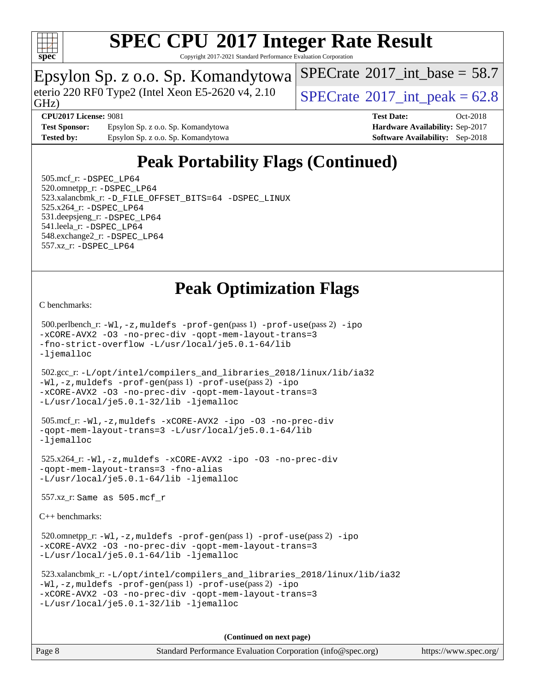

Copyright 2017-2021 Standard Performance Evaluation Corporation

## Epsylon Sp. z o.o. Sp. Komandytowa

eterio 220 RF0 Type2 (Intel Xeon E5-2620 v4, 2.10  $\big|$  [SPECrate](http://www.spec.org/auto/cpu2017/Docs/result-fields.html#SPECrate2017intpeak) <sup>®</sup>2017 int peak = 62.8

[SPECrate](http://www.spec.org/auto/cpu2017/Docs/result-fields.html#SPECrate2017intbase)<sup>®</sup>2017 int\_base = 58.7

GHz)

**[Test Sponsor:](http://www.spec.org/auto/cpu2017/Docs/result-fields.html#TestSponsor)** Epsylon Sp. z o.o. Sp. Komandytowa **[Hardware Availability:](http://www.spec.org/auto/cpu2017/Docs/result-fields.html#HardwareAvailability)** Sep-2017 **[Tested by:](http://www.spec.org/auto/cpu2017/Docs/result-fields.html#Testedby)** Epsylon Sp. z o.o. Sp. Komandytowa **[Software Availability:](http://www.spec.org/auto/cpu2017/Docs/result-fields.html#SoftwareAvailability)** Sep-2018

**[CPU2017 License:](http://www.spec.org/auto/cpu2017/Docs/result-fields.html#CPU2017License)** 9081 **[Test Date:](http://www.spec.org/auto/cpu2017/Docs/result-fields.html#TestDate)** Oct-2018

## **[Peak Portability Flags \(Continued\)](http://www.spec.org/auto/cpu2017/Docs/result-fields.html#PeakPortabilityFlags)**

 505.mcf\_r: [-DSPEC\\_LP64](http://www.spec.org/cpu2017/results/res2018q4/cpu2017-20181105-09475.flags.html#suite_peakPORTABILITY505_mcf_r_DSPEC_LP64) 520.omnetpp\_r: [-DSPEC\\_LP64](http://www.spec.org/cpu2017/results/res2018q4/cpu2017-20181105-09475.flags.html#suite_peakPORTABILITY520_omnetpp_r_DSPEC_LP64) 523.xalancbmk\_r: [-D\\_FILE\\_OFFSET\\_BITS=64](http://www.spec.org/cpu2017/results/res2018q4/cpu2017-20181105-09475.flags.html#user_peakPORTABILITY523_xalancbmk_r_file_offset_bits_64_5ae949a99b284ddf4e95728d47cb0843d81b2eb0e18bdfe74bbf0f61d0b064f4bda2f10ea5eb90e1dcab0e84dbc592acfc5018bc955c18609f94ddb8d550002c) [-DSPEC\\_LINUX](http://www.spec.org/cpu2017/results/res2018q4/cpu2017-20181105-09475.flags.html#b523.xalancbmk_r_peakCXXPORTABILITY_DSPEC_LINUX) 525.x264\_r: [-DSPEC\\_LP64](http://www.spec.org/cpu2017/results/res2018q4/cpu2017-20181105-09475.flags.html#suite_peakPORTABILITY525_x264_r_DSPEC_LP64) 531.deepsjeng\_r: [-DSPEC\\_LP64](http://www.spec.org/cpu2017/results/res2018q4/cpu2017-20181105-09475.flags.html#suite_peakPORTABILITY531_deepsjeng_r_DSPEC_LP64) 541.leela\_r: [-DSPEC\\_LP64](http://www.spec.org/cpu2017/results/res2018q4/cpu2017-20181105-09475.flags.html#suite_peakPORTABILITY541_leela_r_DSPEC_LP64) 548.exchange2\_r: [-DSPEC\\_LP64](http://www.spec.org/cpu2017/results/res2018q4/cpu2017-20181105-09475.flags.html#suite_peakPORTABILITY548_exchange2_r_DSPEC_LP64) 557.xz\_r: [-DSPEC\\_LP64](http://www.spec.org/cpu2017/results/res2018q4/cpu2017-20181105-09475.flags.html#suite_peakPORTABILITY557_xz_r_DSPEC_LP64)

## **[Peak Optimization Flags](http://www.spec.org/auto/cpu2017/Docs/result-fields.html#PeakOptimizationFlags)**

[C benchmarks](http://www.spec.org/auto/cpu2017/Docs/result-fields.html#Cbenchmarks):

 500.perlbench\_r: [-Wl,-z,muldefs](http://www.spec.org/cpu2017/results/res2018q4/cpu2017-20181105-09475.flags.html#user_peakEXTRA_LDFLAGS500_perlbench_r_link_force_multiple1_b4cbdb97b34bdee9ceefcfe54f4c8ea74255f0b02a4b23e853cdb0e18eb4525ac79b5a88067c842dd0ee6996c24547a27a4b99331201badda8798ef8a743f577) [-prof-gen](http://www.spec.org/cpu2017/results/res2018q4/cpu2017-20181105-09475.flags.html#user_peakPASS1_CFLAGSPASS1_LDFLAGS500_perlbench_r_prof_gen_5aa4926d6013ddb2a31985c654b3eb18169fc0c6952a63635c234f711e6e63dd76e94ad52365559451ec499a2cdb89e4dc58ba4c67ef54ca681ffbe1461d6b36)(pass 1) [-prof-use](http://www.spec.org/cpu2017/results/res2018q4/cpu2017-20181105-09475.flags.html#user_peakPASS2_CFLAGSPASS2_LDFLAGS500_perlbench_r_prof_use_1a21ceae95f36a2b53c25747139a6c16ca95bd9def2a207b4f0849963b97e94f5260e30a0c64f4bb623698870e679ca08317ef8150905d41bd88c6f78df73f19)(pass 2) [-ipo](http://www.spec.org/cpu2017/results/res2018q4/cpu2017-20181105-09475.flags.html#user_peakPASS1_COPTIMIZEPASS2_COPTIMIZE500_perlbench_r_f-ipo) [-xCORE-AVX2](http://www.spec.org/cpu2017/results/res2018q4/cpu2017-20181105-09475.flags.html#user_peakPASS2_COPTIMIZE500_perlbench_r_f-xCORE-AVX2) [-O3](http://www.spec.org/cpu2017/results/res2018q4/cpu2017-20181105-09475.flags.html#user_peakPASS1_COPTIMIZEPASS2_COPTIMIZE500_perlbench_r_f-O3) [-no-prec-div](http://www.spec.org/cpu2017/results/res2018q4/cpu2017-20181105-09475.flags.html#user_peakPASS1_COPTIMIZEPASS2_COPTIMIZE500_perlbench_r_f-no-prec-div) [-qopt-mem-layout-trans=3](http://www.spec.org/cpu2017/results/res2018q4/cpu2017-20181105-09475.flags.html#user_peakPASS1_COPTIMIZEPASS2_COPTIMIZE500_perlbench_r_f-qopt-mem-layout-trans_de80db37974c74b1f0e20d883f0b675c88c3b01e9d123adea9b28688d64333345fb62bc4a798493513fdb68f60282f9a726aa07f478b2f7113531aecce732043) [-fno-strict-overflow](http://www.spec.org/cpu2017/results/res2018q4/cpu2017-20181105-09475.flags.html#user_peakEXTRA_OPTIMIZE500_perlbench_r_f-fno-strict-overflow) [-L/usr/local/je5.0.1-64/lib](http://www.spec.org/cpu2017/results/res2018q4/cpu2017-20181105-09475.flags.html#user_peakEXTRA_LIBS500_perlbench_r_jemalloc_link_path64_4b10a636b7bce113509b17f3bd0d6226c5fb2346b9178c2d0232c14f04ab830f976640479e5c33dc2bcbbdad86ecfb6634cbbd4418746f06f368b512fced5394) [-ljemalloc](http://www.spec.org/cpu2017/results/res2018q4/cpu2017-20181105-09475.flags.html#user_peakEXTRA_LIBS500_perlbench_r_jemalloc_link_lib_d1249b907c500fa1c0672f44f562e3d0f79738ae9e3c4a9c376d49f265a04b9c99b167ecedbf6711b3085be911c67ff61f150a17b3472be731631ba4d0471706)

 502.gcc\_r: [-L/opt/intel/compilers\\_and\\_libraries\\_2018/linux/lib/ia32](http://www.spec.org/cpu2017/results/res2018q4/cpu2017-20181105-09475.flags.html#user_peakCCLD502_gcc_r_Enable-32bit-runtime_af243bdb1d79e4c7a4f720bf8275e627de2ecd461de63307bc14cef0633fde3cd7bb2facb32dcc8be9566045fb55d40ce2b72b725f73827aa7833441b71b9343) [-Wl,-z,muldefs](http://www.spec.org/cpu2017/results/res2018q4/cpu2017-20181105-09475.flags.html#user_peakEXTRA_LDFLAGS502_gcc_r_link_force_multiple1_b4cbdb97b34bdee9ceefcfe54f4c8ea74255f0b02a4b23e853cdb0e18eb4525ac79b5a88067c842dd0ee6996c24547a27a4b99331201badda8798ef8a743f577) [-prof-gen](http://www.spec.org/cpu2017/results/res2018q4/cpu2017-20181105-09475.flags.html#user_peakPASS1_CFLAGSPASS1_LDFLAGS502_gcc_r_prof_gen_5aa4926d6013ddb2a31985c654b3eb18169fc0c6952a63635c234f711e6e63dd76e94ad52365559451ec499a2cdb89e4dc58ba4c67ef54ca681ffbe1461d6b36)(pass 1) [-prof-use](http://www.spec.org/cpu2017/results/res2018q4/cpu2017-20181105-09475.flags.html#user_peakPASS2_CFLAGSPASS2_LDFLAGS502_gcc_r_prof_use_1a21ceae95f36a2b53c25747139a6c16ca95bd9def2a207b4f0849963b97e94f5260e30a0c64f4bb623698870e679ca08317ef8150905d41bd88c6f78df73f19)(pass 2) [-ipo](http://www.spec.org/cpu2017/results/res2018q4/cpu2017-20181105-09475.flags.html#user_peakPASS1_COPTIMIZEPASS2_COPTIMIZE502_gcc_r_f-ipo) [-xCORE-AVX2](http://www.spec.org/cpu2017/results/res2018q4/cpu2017-20181105-09475.flags.html#user_peakPASS2_COPTIMIZE502_gcc_r_f-xCORE-AVX2) [-O3](http://www.spec.org/cpu2017/results/res2018q4/cpu2017-20181105-09475.flags.html#user_peakPASS1_COPTIMIZEPASS2_COPTIMIZE502_gcc_r_f-O3) [-no-prec-div](http://www.spec.org/cpu2017/results/res2018q4/cpu2017-20181105-09475.flags.html#user_peakPASS1_COPTIMIZEPASS2_COPTIMIZE502_gcc_r_f-no-prec-div) [-qopt-mem-layout-trans=3](http://www.spec.org/cpu2017/results/res2018q4/cpu2017-20181105-09475.flags.html#user_peakPASS1_COPTIMIZEPASS2_COPTIMIZE502_gcc_r_f-qopt-mem-layout-trans_de80db37974c74b1f0e20d883f0b675c88c3b01e9d123adea9b28688d64333345fb62bc4a798493513fdb68f60282f9a726aa07f478b2f7113531aecce732043) [-L/usr/local/je5.0.1-32/lib](http://www.spec.org/cpu2017/results/res2018q4/cpu2017-20181105-09475.flags.html#user_peakEXTRA_LIBS502_gcc_r_jemalloc_link_path32_e29f22e8e6c17053bbc6a0971f5a9c01a601a06bb1a59df2084b77a2fe0a2995b64fd4256feaeea39eeba3aae142e96e2b2b0a28974019c0c0c88139a84f900a) [-ljemalloc](http://www.spec.org/cpu2017/results/res2018q4/cpu2017-20181105-09475.flags.html#user_peakEXTRA_LIBS502_gcc_r_jemalloc_link_lib_d1249b907c500fa1c0672f44f562e3d0f79738ae9e3c4a9c376d49f265a04b9c99b167ecedbf6711b3085be911c67ff61f150a17b3472be731631ba4d0471706)

```
 505.mcf_r: -Wl,-z,muldefs -xCORE-AVX2 -ipo -O3 -no-prec-div
-qopt-mem-layout-trans=3 -L/usr/local/je5.0.1-64/lib
-ljemalloc
```
 525.x264\_r: [-Wl,-z,muldefs](http://www.spec.org/cpu2017/results/res2018q4/cpu2017-20181105-09475.flags.html#user_peakEXTRA_LDFLAGS525_x264_r_link_force_multiple1_b4cbdb97b34bdee9ceefcfe54f4c8ea74255f0b02a4b23e853cdb0e18eb4525ac79b5a88067c842dd0ee6996c24547a27a4b99331201badda8798ef8a743f577) [-xCORE-AVX2](http://www.spec.org/cpu2017/results/res2018q4/cpu2017-20181105-09475.flags.html#user_peakCOPTIMIZE525_x264_r_f-xCORE-AVX2) [-ipo](http://www.spec.org/cpu2017/results/res2018q4/cpu2017-20181105-09475.flags.html#user_peakCOPTIMIZE525_x264_r_f-ipo) [-O3](http://www.spec.org/cpu2017/results/res2018q4/cpu2017-20181105-09475.flags.html#user_peakCOPTIMIZE525_x264_r_f-O3) [-no-prec-div](http://www.spec.org/cpu2017/results/res2018q4/cpu2017-20181105-09475.flags.html#user_peakCOPTIMIZE525_x264_r_f-no-prec-div) [-qopt-mem-layout-trans=3](http://www.spec.org/cpu2017/results/res2018q4/cpu2017-20181105-09475.flags.html#user_peakCOPTIMIZE525_x264_r_f-qopt-mem-layout-trans_de80db37974c74b1f0e20d883f0b675c88c3b01e9d123adea9b28688d64333345fb62bc4a798493513fdb68f60282f9a726aa07f478b2f7113531aecce732043) [-fno-alias](http://www.spec.org/cpu2017/results/res2018q4/cpu2017-20181105-09475.flags.html#user_peakEXTRA_OPTIMIZE525_x264_r_f-no-alias_77dbac10d91cbfe898fbf4a29d1b29b694089caa623bdd1baccc9957d4edbe8d106c0b357e2748a65b44fc9e83d78098bb898077f3fe92f9faf24f7bd4a07ed7) [-L/usr/local/je5.0.1-64/lib](http://www.spec.org/cpu2017/results/res2018q4/cpu2017-20181105-09475.flags.html#user_peakEXTRA_LIBS525_x264_r_jemalloc_link_path64_4b10a636b7bce113509b17f3bd0d6226c5fb2346b9178c2d0232c14f04ab830f976640479e5c33dc2bcbbdad86ecfb6634cbbd4418746f06f368b512fced5394) [-ljemalloc](http://www.spec.org/cpu2017/results/res2018q4/cpu2017-20181105-09475.flags.html#user_peakEXTRA_LIBS525_x264_r_jemalloc_link_lib_d1249b907c500fa1c0672f44f562e3d0f79738ae9e3c4a9c376d49f265a04b9c99b167ecedbf6711b3085be911c67ff61f150a17b3472be731631ba4d0471706)

557.xz\_r: Same as 505.mcf\_r

[C++ benchmarks:](http://www.spec.org/auto/cpu2017/Docs/result-fields.html#CXXbenchmarks)

520.omnetpp\_r: $-Wl$ ,-z,muldefs -prof-qen(pass 1) [-prof-use](http://www.spec.org/cpu2017/results/res2018q4/cpu2017-20181105-09475.flags.html#user_peakPASS2_CXXFLAGSPASS2_LDFLAGS520_omnetpp_r_prof_use_1a21ceae95f36a2b53c25747139a6c16ca95bd9def2a207b4f0849963b97e94f5260e30a0c64f4bb623698870e679ca08317ef8150905d41bd88c6f78df73f19)(pass 2) [-ipo](http://www.spec.org/cpu2017/results/res2018q4/cpu2017-20181105-09475.flags.html#user_peakPASS1_CXXOPTIMIZEPASS2_CXXOPTIMIZE520_omnetpp_r_f-ipo) [-xCORE-AVX2](http://www.spec.org/cpu2017/results/res2018q4/cpu2017-20181105-09475.flags.html#user_peakPASS2_CXXOPTIMIZE520_omnetpp_r_f-xCORE-AVX2) [-O3](http://www.spec.org/cpu2017/results/res2018q4/cpu2017-20181105-09475.flags.html#user_peakPASS1_CXXOPTIMIZEPASS2_CXXOPTIMIZE520_omnetpp_r_f-O3) [-no-prec-div](http://www.spec.org/cpu2017/results/res2018q4/cpu2017-20181105-09475.flags.html#user_peakPASS1_CXXOPTIMIZEPASS2_CXXOPTIMIZE520_omnetpp_r_f-no-prec-div) [-qopt-mem-layout-trans=3](http://www.spec.org/cpu2017/results/res2018q4/cpu2017-20181105-09475.flags.html#user_peakPASS1_CXXOPTIMIZEPASS2_CXXOPTIMIZE520_omnetpp_r_f-qopt-mem-layout-trans_de80db37974c74b1f0e20d883f0b675c88c3b01e9d123adea9b28688d64333345fb62bc4a798493513fdb68f60282f9a726aa07f478b2f7113531aecce732043) [-L/usr/local/je5.0.1-64/lib](http://www.spec.org/cpu2017/results/res2018q4/cpu2017-20181105-09475.flags.html#user_peakEXTRA_LIBS520_omnetpp_r_jemalloc_link_path64_4b10a636b7bce113509b17f3bd0d6226c5fb2346b9178c2d0232c14f04ab830f976640479e5c33dc2bcbbdad86ecfb6634cbbd4418746f06f368b512fced5394) [-ljemalloc](http://www.spec.org/cpu2017/results/res2018q4/cpu2017-20181105-09475.flags.html#user_peakEXTRA_LIBS520_omnetpp_r_jemalloc_link_lib_d1249b907c500fa1c0672f44f562e3d0f79738ae9e3c4a9c376d49f265a04b9c99b167ecedbf6711b3085be911c67ff61f150a17b3472be731631ba4d0471706)

```
 523.xalancbmk_r: -L/opt/intel/compilers_and_libraries_2018/linux/lib/ia32
-Wl,-z,muldefs -prof-gen(pass 1) -prof-use(pass 2) -ipo
-xCORE-AVX2 -O3 -no-prec-div -qopt-mem-layout-trans=3
-L/usr/local/je5.0.1-32/lib -ljemalloc
```
**(Continued on next page)**